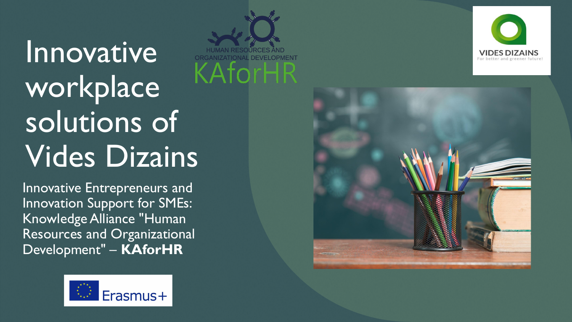# **Innovative** workplace solutions of Vides Dizains

Innovative Entrepreneurs and Innovation Support for SMEs: Knowledge Alliance "Human Resources and Organizational Development" – **KAforHR**







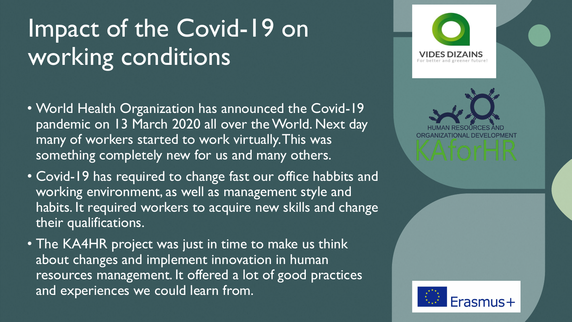# Impact of the Covid-19 on working conditions

- World Health Organization has announced the Covid-19 pandemic on 13 March 2020 all over the World. Next day many of workers started to work virtually. This was something completely new for us and many others.
- Covid-19 has required to change fast our office habbits and working environment, as well as management style and habits. It required workers to acquire new skills and change their qualifications.
- The KA4HR project was just in time to make us think about changes and implement innovation in human resources management. It offered a lot of good practices and experiences we could learn from.

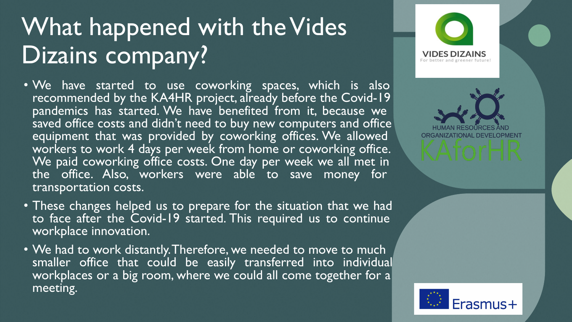### What happened with the Vides Dizains company?

- We have started to use coworking spaces, which is also recommended by the KA4HR project, already before the Covid-19 pandemics has started. We have benefited from it, because we saved office costs and didn't need to buy new computers and office equipment that was provided by coworking offices. We allowed workers to work 4 days per week from home or coworking office. We paid coworking office costs. One day per week we all met in the office. Also, workers were able to save money for transportation costs.
- These changes helped us to prepare for the situation that we had to face after the Covid-19 started. This required us to continue workplace innovation.
- We had to work distantly. Therefore, we needed to move to much smaller office that could be easily transferred into individual workplaces or a big room, where we could all come together for a meeting.



**ZATIONAL DEVELOPMENT** 

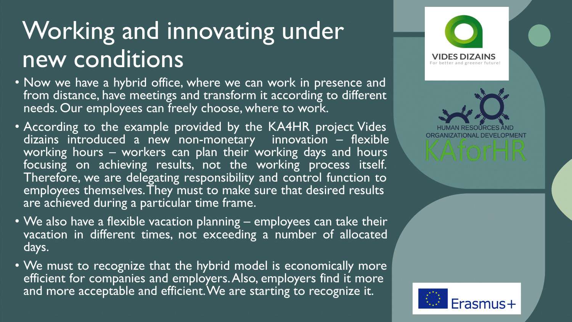#### Working and innovating under new conditions

- Now we have a hybrid office, where we can work in presence and from distance, have meetings and transform it according to different needs. Our employees can freely choose, where to work.
- According to the example provided by the KA4HR project Vides dizains introduced a new non-monetary innovation  $-$  flexible working hours – workers can plan their working days and hours focusing on achieving results, not the working process itself. Therefore, we are delegating responsibility and control function to employees themselves. They must to make sure that desired results are achieved during a particular time frame.
- We also have a flexible vacation planning employees can take their vacation in different times, not exceeding a number of allocated days.
- We must to recognize that the hybrid model is economically more efficient for companies and employers. Also, employers find it more and more acceptable and efficient. We are starting to recognize it.

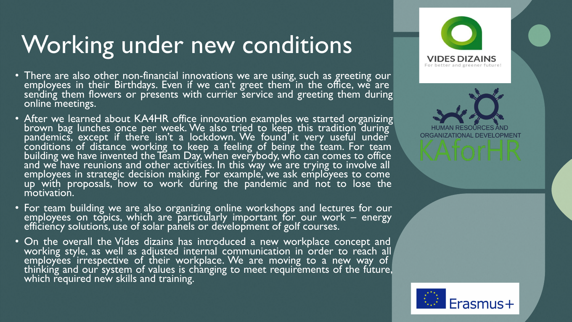# Working under new conditions

- There are also other non-financial innovations we are using, such as greeting our employees in their Birthdays. Even if we can't greet them in the office, we are sending them flowers or presents with currier service and greeting them during online meetings.
- After we learned about KA4HR office innovation examples we started organizing brown bag lunches once per week. We also tried to keep this tradition during pandemics, except if there isn't a lockdown. We found it very useful under conditions of distance working to keep a feeling of being the team. For team building we have invented the Team Day, when everybody, who can comes to office and we have reunions and other activities. In this way we are trying to involve all employees in strategic decision making. For example, we ask employees to come up with proposals, how to work during the pandemic and not to lose the motivation.
- For team building we are also organizing online workshops and lectures for our employees on topics, which are particularly important for our work – energy efficiency solution's, use of solar panels or development of golf courses.
- On the overall the Vides dizains has introduced a new workplace concept and working style, as well as adjusted internal communication in order to reach all/ employees irrespective of their workplace. We are moving to a new way of thinking and our system of values is changing to meet requirements of the future, which required new skills and training.

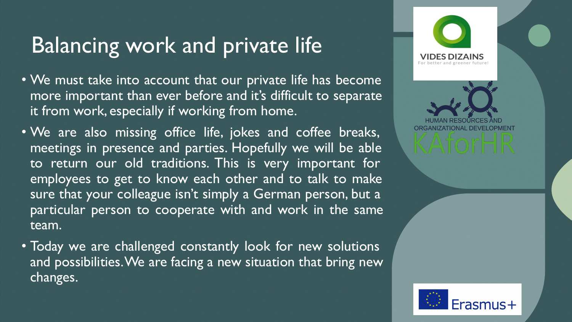#### Balancing work and private life

- We must take into account that our private life has become more important than ever before and it's difficult to separate it from work, especially if working from home.
- We are also missing office life, jokes and coffee breaks, meetings in presence and parties. Hopefully we will be able to return our old traditions. This is very important for employees to get to know each other and to talk to make sure that your colleague isn't simply a German person, but a particular person to cooperate with and work in the same team.
- Today we are challenged constantly look for new solutions and possibilities. We are facing a new situation that bring new changes.